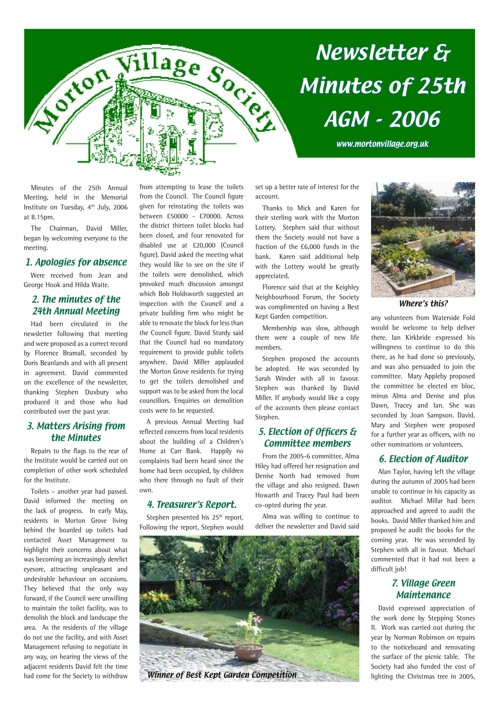

# Newsletter & Minutes of 25th AGM - 2006

www.mortonvillage.org.uk

Minutes of the 25th Annual Meeting, held in the Memorial Institute on Tuesday, 4<sup>th</sup> July, 2006 at 8.15pm.

The Chairman, David Miller, began by welcoming everyone to the meeting.

### 1. Apologies for absence

Were received from Jean and George Hook and Hilda Waite.

#### 2. The minutes of the 24th Annual Meeting

Had been circulated in the newsletter following that meeting and were proposed as a correct record by Florence Bramall, seconded by Doris Beanlands and with all present in agreement. David commented on the excellence of the newsletter, thanking Stephen Duxbury who produced it and those who had contributed over the past year.

### 3. Matters Arising from the Minutes

Repairs to the flags to the rear of the Institute would be carried out on completion of other work scheduled for the Institute.

Toilets – another year had passed. David informed the meeting on the lack of progress. In early May, residents in Morton Grove living behind the boarded up toilets had contacted Asset Management to highlight their concerns about what was becoming an increasingly derelict eyesore, attracting unpleasant and undesirable behaviour on occasions. They believed that the only way forward, if the Council were unwilling to maintain the toilet facility, was to demolish the block and landscape the area. As the residents of the village do not use the facility, and with Asset Management refusing to negotiate in any way, on hearing the views of the adjacent residents David felt the time had come for the Society to withdraw from attempting to lease the toilets from the Council. The Council figure given for reinstating the toilets was between £50000 - £70000. Across the district thirteen toilet blocks had been closed, and four renovated for disabled use at £20,000 (Council figure). David asked the meeting what they would like to see on the site if the toilets were demolished, which provoked much discussion amongst which Bob Holdsworth suggested an inspection with the Council and a private building firm who might be able to renovate the block for less than the Council figure. David Sturdy said that the Council had no mandatory requirement to provide public toilets anywhere. David Miller applauded the Morton Grove residents for trying to get the toilets demolished and support was to be asked from the local councillors. Enquiries on demolition costs were to be requested.

A previous Annual Meeting had reflected concerns from local residents about the building of a Children's Home at Carr Bank. Happily no complaints had been heard since the home had been occupied, by children who there through no fault of their own.

#### 4. Treasurer's Report.

Stephen presented his 25<sup>th</sup> report. Following the report, Stephen would set up a better rate of interest for the account.

Thanks to Mick and Karen for their sterling work with the Morton Lottery. Stephen said that without them the Society would not have a fraction of the £6,000 funds in the bank. Karen said additional help with the Lottery would be greatly appreciated.

Florence said that at the Keighley Neighbourhood Forum, the Society was complimented on having a Best Kept Garden competition.

Membership was slow, although there were a couple of new life members.

Stephen proposed the accounts be adopted. He was seconded by Sarah Winder with all in favour. Stephen was thanked by David Miller. If anybody would like a copy of the accounts then please contact Stephen.

### 5. Election of Officers & Committee members

From the 2005-6 committee, Alma Hiley had offered her resignation and Denise North had removed from the village and also resigned. Dawn Howarth and Tracey Paul had been co-opted during the year.

Alma was willing to continue to deliver the newsletter and David said





Where's this?

any volunteers from Waterside Fold would be welcome to help deliver there. Ian Kirkbride expressed his willingness to continue to do this there, as he had done so previously, and was also persuaded to join the committee. Mary Appleby proposed the committee be elected en bloc, minus Alma and Denise and plus Dawn, Tracey and Ian. She was seconded by Joan Sampson. David, Mary and Stephen were proposed for a further year as officers, with no other nominations or volunteers.

# 6. Election of Auditor

Alan Taylor, having left the village during the autumn of 2005 had been unable to continue in his capacity as auditor. Michael Millar had been approached and agreed to audit the books. David Miller thanked him and proposed he audit the books for the coming year. He was seconded by Stephen with all in favour. Michael commented that it had not been a difficult job!

#### 7. Village Green Maintenance

David expressed appreciation of the work done by Stepping Stones II. Work was carried out during the year by Norman Robinson on repairs to the noticeboard and renovating the surface of the picnic table. The Society had also funded the cost of lighting the Christmas tree in 2005,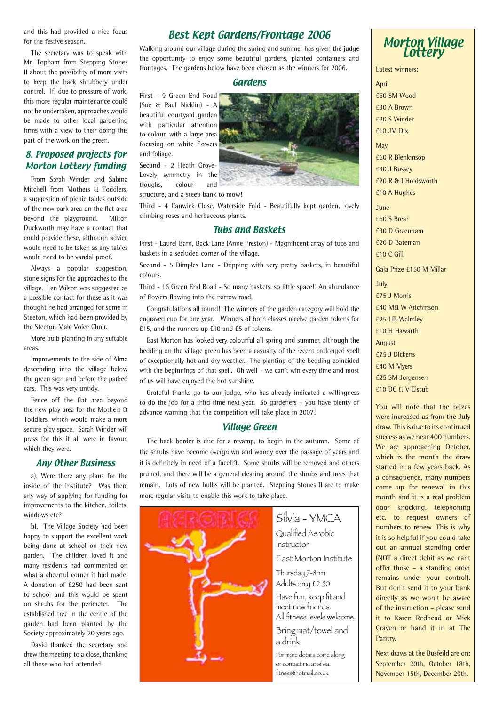and this had provided a nice focus for the festive season.

The secretary was to speak with Mr. Topham from Stepping Stones II about the possibility of more visits to keep the back shrubbery under control. If, due to pressure of work, this more regular maintenance could not be undertaken, approaches would be made to other local gardening firms with a view to their doing this part of the work on the green.

#### 8. Proposed projects for Morton Lottery funding

From Sarah Winder and Sabina Mitchell from Mothers & Toddlers, a suggestion of picnic tables outside of the new park area on the flat area beyond the playground. Milton Duckworth may have a contact that could provide these, although advice would need to be taken as any tables would need to be vandal proof.

Always a popular suggestion, stone signs for the approaches to the village. Len Wilson was suggested as a possible contact for these as it was thought he had arranged for some in Steeton, which had been provided by the Steeton Male Voice Choir.

More bulb planting in any suitable areas.

Improvements to the side of Alma descending into the village below the green sign and before the parked cars. This was very untidy.

Fence off the flat area beyond the new play area for the Mothers & Toddlers, which would make a more secure play space. Sarah Winder will press for this if all were in favour, which they were.

#### Any Other Business

a). Were there any plans for the inside of the Institute? Was there any way of applying for funding for improvements to the kitchen, toilets, windows etc?

b). The Village Society had been happy to support the excellent work being done at school on their new garden. The children loved it and many residents had commented on what a cheerful corner it had made. A donation of £250 had been sent to school and this would be spent on shrubs for the perimeter. The established tree in the centre of the garden had been planted by the Society approximately 20 years ago.

David thanked the secretary and drew the meeting to a close, thanking all those who had attended.

### Best Kept Gardens/Frontage 2006

Walking around our village during the spring and summer has given the judge the opportunity to enjoy some beautiful gardens, planted containers and frontages. The gardens below have been chosen as the winners for 2006.

#### Gardens

**First** - 9 Green End Road (Sue & Paul Nicklin) - A beautiful courtyard garden with particular attention to colour, with a large area focusing on white flowers and foliage.

**Second** - 2 Heath Grove-Lovely symmetry in the troughs, colour and structure, and a steep bank to mow!

**Third** - 4 Canwick Close, Waterside Fold - Beautifully kept garden, lovely climbing roses and herbaceous plants.

#### Tubs and Baskets

**First** - Laurel Barn, Back Lane (Anne Preston) - Magnificent array of tubs and baskets in a secluded corner of the village.

**Second** - 5 Dimples Lane - Dripping with very pretty baskets, in beautiful colours.

**Third** - 16 Green End Road - So many baskets, so little space!! An abundance of flowers flowing into the narrow road.

Congratulations all round! The winners of the garden category will hold the engraved cup for one year. Winners of both classes receive garden tokens for £15, and the runners up £10 and £5 of tokens.

East Morton has looked very colourful all spring and summer, although the bedding on the village green has been a casualty of the recent prolonged spell of exceptionally hot and dry weather. The planting of the bedding coincided with the beginnings of that spell. Oh well – we can't win every time and most of us will have enjoyed the hot sunshine.

Grateful thanks go to our judge, who has already indicated a willingness to do the job for a third time next year. So gardeners – you have plenty of advance warning that the competition will take place in 2007!

#### Village Green

The back border is due for a revamp, to begin in the autumn. Some of the shrubs have become overgrown and woody over the passage of years and it is definitely in need of a facelift. Some shrubs will be removed and others pruned, and there will be a general clearing around the shrubs and trees that remain. Lots of new bulbs will be planted. Stepping Stones II are to make more regular visits to enable this work to take place.



Silvia - YMCA Qualified Aerobic Instructor East Morton Institute Thursday 7-8pm Adults only £2.50 Have fun, keep fit and meet new friends. All fitness levels welcome. Bring mat/towel and a drink

For more details come along or contact me at silvia. fitness@hotmail.co.uk



Latest winners:

April £60 SM Wood £30 A Brown £20 S Winder £10 JM Dix

**May** £60 R Blenkinsop £30 J Bussey £20 R & I Holdsworth £10 A Hughes

June £60 S Brear £30 D Greenham £20 D Bateman £10 C Gill

Gala Prize £150 M Millar

July £75 J Morris £40 M& W Aitchinson £25 HB Walmley £10 H Hawarth August £75 J Dickens £40 M Myers £25 SM Jorgensen £10 DC & V Elstub

You will note that the prizes were increased as from the July draw. This is due to its continued success as we near 400 numbers. We are approaching October, which is the month the draw started in a few years back. As a consequence, many numbers come up for renewal in this month and it is a real problem door knocking, telephoning etc. to request owners of numbers to renew. This is why it is so helpful if you could take out an annual standing order (NOT a direct debit as we cant offer those – a standing order remains under your control). But don't send it to your bank directly as we won't be aware of the instruction – please send it to Karen Redhead or Mick Craven or hand it in at The Pantry.

Next draws at the Busfeild are on: September 20th, October 18th, November 15th, December 20th.

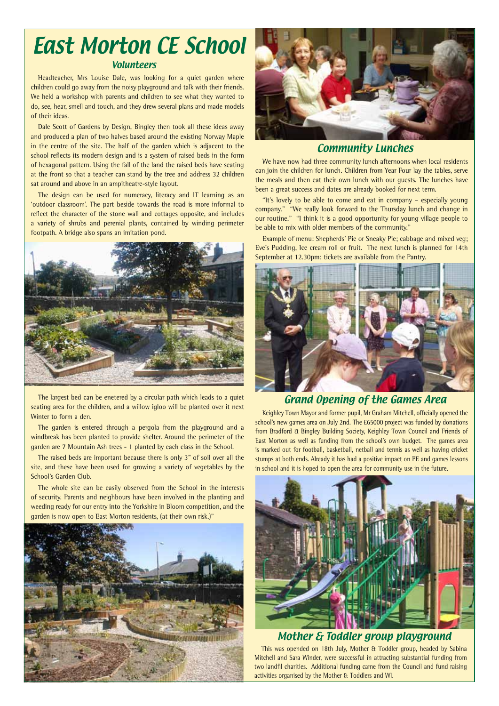# Volunteers East Morton CE School

Headteacher, Mrs Louise Dale, was looking for a quiet garden where children could go away from the noisy playground and talk with their friends. We held a workshop with parents and children to see what they wanted to do, see, hear, smell and touch, and they drew several plans and made models of their ideas.

Dale Scott of Gardens by Design, Bingley then took all these ideas away and produced a plan of two halves based around the existing Norway Maple in the centre of the site. The half of the garden which is adjacent to the school reflects its modern design and is a system of raised beds in the form of hexagonal pattern. Using the fall of the land the raised beds have seating at the front so that a teacher can stand by the tree and address 32 children sat around and above in an ampitheatre-style layout.

The design can be used for numeracy, literacy and IT learning as an 'outdoor classroom'. The part beside towards the road is more informal to reflect the character of the stone wall and cottages opposite, and includes a variety of shrubs and perenial plants, contained by winding perimeter footpath. A bridge also spans an imitation pond.



The largest bed can be enetered by a circular path which leads to a quiet seating area for the children, and a willow igloo will be planted over it next Winter to form a den.

The garden is entered through a pergola from the playground and a windbreak has been planted to provide shelter. Around the perimeter of the garden are 7 Mountain Ash trees - 1 planted by each class in the School.

The raised beds are important because there is only 3" of soil over all the site, and these have been used for growing a variety of vegetables by the School's Garden Club.

The whole site can be easily observed from the School in the interests of security. Parents and neighbours have been involved in the planting and weeding ready for our entry into the Yorkshire in Bloom competition, and the garden is now open to East Morton residents, (at their own risk.)"





#### Community Lunches

We have now had three community lunch afternoons when local residents can join the children for lunch. Children from Year Four lay the tables, serve the meals and then eat their own lunch with our guests. The lunches have been a great success and dates are already booked for next term.

"It's lovely to be able to come and eat in company – especially young company." "We really look forward to the Thursday lunch and change in our routine." "I think it is a good opportunity for young village people to be able to mix with older members of the community."

Example of menu: Shepherds' Pie or Sneaky Pie; cabbage and mixed veg; Eve's Pudding, Ice cream roll or fruit. The next lunch is planned for 14th September at 12.30pm: tickets are available from the Pantry.



# Grand Opening of the Games Area

Keighley Town Mayor and former pupil, Mr Graham Mitchell, officially opened the school's new games area on July 2nd. The £65000 project was funded by donations from Bradford & Bingley Building Society, Keighley Town Council and Friends of East Morton as well as funding from the school's own budget. The games area is marked out for football, basketball, netball and tennis as well as having cricket stumps at both ends. Already it has had a positive impact on PE and games lessons in school and it is hoped to open the area for community use in the future.



Mother & Toddler group playground

This was opended on 18th July, Mother & Toddler group, headed by Sabina Mitchell and Sara Winder, were successful in attracting substantial funding from two landfil charities. Additional funding came from the Council and fund raising activities organised by the Mother & Toddlers and WI.